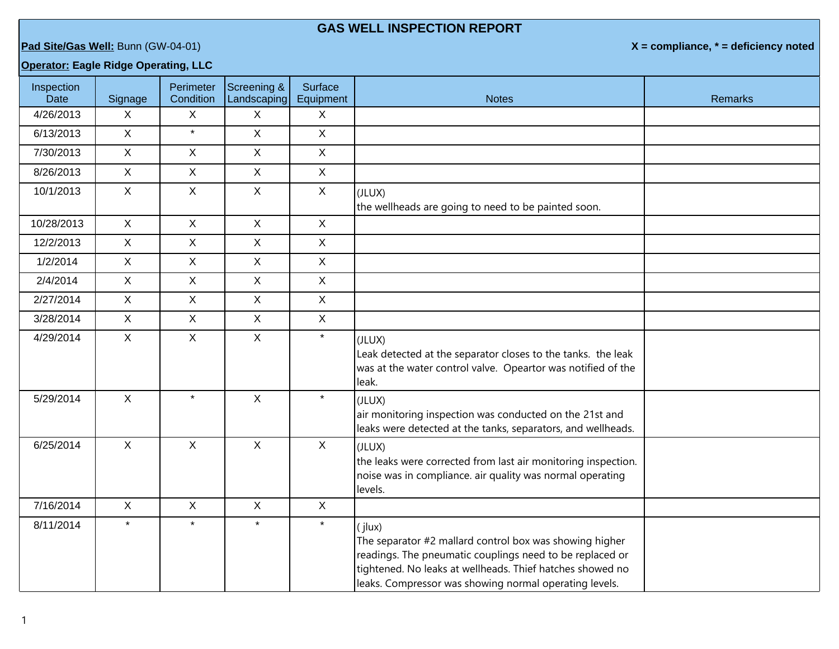## **GAS WELL INSPECTION REPORT**

**Pad Site/Gas Well:** Bunn (GW-04-01) **X = compliance, \* = deficiency noted**

## **Operator: Eagle Ridge Operating, LLC**

| Inspection<br>Date | Signage      | Perimeter<br>Condition | Screening &<br>Landscaping | Surface<br>Equipment | <b>Notes</b>                                                                                                                                                                                                                                         | <b>Remarks</b> |
|--------------------|--------------|------------------------|----------------------------|----------------------|------------------------------------------------------------------------------------------------------------------------------------------------------------------------------------------------------------------------------------------------------|----------------|
| 4/26/2013          | X            | $\mathsf{X}$           | $\sf X$                    | $\mathsf{X}$         |                                                                                                                                                                                                                                                      |                |
| 6/13/2013          | X            | $\star$                | $\mathsf{X}$               | $\mathsf{X}$         |                                                                                                                                                                                                                                                      |                |
| 7/30/2013          | $\mathsf{X}$ | $\mathsf{X}$           | $\mathsf{X}$               | $\mathsf X$          |                                                                                                                                                                                                                                                      |                |
| 8/26/2013          | $\mathsf{X}$ | $\mathsf{X}$           | $\mathsf{X}$               | $\sf X$              |                                                                                                                                                                                                                                                      |                |
| 10/1/2013          | $\mathsf{X}$ | $\mathsf{X}$           | $\mathsf X$                | $\mathsf{X}$         | (JLUX)<br>the wellheads are going to need to be painted soon.                                                                                                                                                                                        |                |
| 10/28/2013         | $\mathsf{X}$ | $\mathsf{X}$           | $\mathsf{X}$               | $\sf X$              |                                                                                                                                                                                                                                                      |                |
| 12/2/2013          | $\mathsf{X}$ | $\mathsf{X}$           | $\mathsf X$                | $\mathsf{X}$         |                                                                                                                                                                                                                                                      |                |
| 1/2/2014           | $\mathsf{X}$ | $\mathsf{X}$           | $\mathsf X$                | $\mathsf X$          |                                                                                                                                                                                                                                                      |                |
| 2/4/2014           | $\mathsf{X}$ | $\mathsf{X}$           | $\mathsf{X}$               | $\mathsf{X}$         |                                                                                                                                                                                                                                                      |                |
| 2/27/2014          | $\mathsf{X}$ | $\mathsf{X}$           | $\mathsf X$                | $\mathsf{X}$         |                                                                                                                                                                                                                                                      |                |
| 3/28/2014          | $\mathsf{X}$ | $\mathsf{X}$           | $\mathsf X$                | $\mathsf{X}$         |                                                                                                                                                                                                                                                      |                |
| 4/29/2014          | $\mathsf{X}$ | $\mathsf{X}$           | $\mathsf{X}$               | $\star$              | (JLUX)<br>Leak detected at the separator closes to the tanks. the leak<br>was at the water control valve. Opeartor was notified of the<br>leak.                                                                                                      |                |
| 5/29/2014          | $\mathsf{X}$ | $\star$                | $\mathsf{X}$               | $\star$              | (JLUX)<br>air monitoring inspection was conducted on the 21st and<br>leaks were detected at the tanks, separators, and wellheads.                                                                                                                    |                |
| 6/25/2014          | $\mathsf{X}$ | $\mathsf{X}$           | $\mathsf{X}$               | $\mathsf{X}$         | (JLUX)<br>the leaks were corrected from last air monitoring inspection.<br>noise was in compliance. air quality was normal operating<br>levels.                                                                                                      |                |
| 7/16/2014          | $\mathsf{X}$ | $\mathsf X$            | $\mathsf X$                | $\boldsymbol{X}$     |                                                                                                                                                                                                                                                      |                |
| 8/11/2014          | $\star$      | $\star$                | $\star$                    | $\star$              | (jlux)<br>The separator #2 mallard control box was showing higher<br>readings. The pneumatic couplings need to be replaced or<br>tightened. No leaks at wellheads. Thief hatches showed no<br>leaks. Compressor was showing normal operating levels. |                |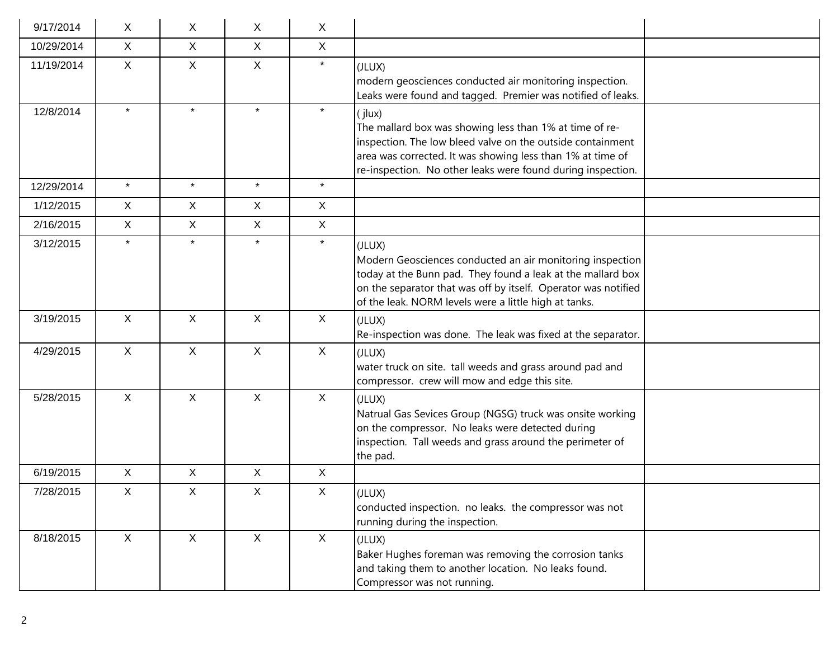| 9/17/2014  | X            | X.           | X            | X            |                                                                                                                                                                                                                                                               |
|------------|--------------|--------------|--------------|--------------|---------------------------------------------------------------------------------------------------------------------------------------------------------------------------------------------------------------------------------------------------------------|
| 10/29/2014 | X            | $\mathsf{X}$ | X            | $\mathsf{X}$ |                                                                                                                                                                                                                                                               |
| 11/19/2014 | $\mathsf{X}$ | $\mathsf{X}$ | $\mathsf{X}$ | $\star$      | (JLUX)<br>modern geosciences conducted air monitoring inspection.<br>Leaks were found and tagged. Premier was notified of leaks.                                                                                                                              |
| 12/8/2014  | $\star$      | $\star$      | $\star$      | $\star$      | (jlux)<br>The mallard box was showing less than 1% at time of re-<br>inspection. The low bleed valve on the outside containment<br>area was corrected. It was showing less than 1% at time of<br>re-inspection. No other leaks were found during inspection.  |
| 12/29/2014 | $\star$      | $\star$      | $\star$      | $\star$      |                                                                                                                                                                                                                                                               |
| 1/12/2015  | $\mathsf{X}$ | $\mathsf{X}$ | X            | $\mathsf{X}$ |                                                                                                                                                                                                                                                               |
| 2/16/2015  | X            | $\mathsf{X}$ | X            | $\mathsf{X}$ |                                                                                                                                                                                                                                                               |
| 3/12/2015  | $\star$      | $\star$      | $\star$      | $\star$      | (JLUX)<br>Modern Geosciences conducted an air monitoring inspection<br>today at the Bunn pad. They found a leak at the mallard box<br>on the separator that was off by itself. Operator was notified<br>of the leak. NORM levels were a little high at tanks. |
| 3/19/2015  | $\mathsf{X}$ | $\mathsf{X}$ | $\mathsf{X}$ | $\mathsf{X}$ | (JLUX)<br>Re-inspection was done. The leak was fixed at the separator.                                                                                                                                                                                        |
| 4/29/2015  | X            | $\mathsf{X}$ | $\mathsf{X}$ | X            | (JLUX)<br>water truck on site. tall weeds and grass around pad and<br>compressor. crew will mow and edge this site.                                                                                                                                           |
| 5/28/2015  | X            | $\mathsf{X}$ | $\mathsf{X}$ | $\mathsf{X}$ | (JLUX)<br>Natrual Gas Sevices Group (NGSG) truck was onsite working<br>on the compressor. No leaks were detected during<br>inspection. Tall weeds and grass around the perimeter of<br>the pad.                                                               |
| 6/19/2015  | X            | X            | X            | X            |                                                                                                                                                                                                                                                               |
| 7/28/2015  | Χ            | Χ            | X            | X            | (JLUX)<br>conducted inspection. no leaks. the compressor was not<br>running during the inspection.                                                                                                                                                            |
| 8/18/2015  | X            | $\mathsf{X}$ | $\mathsf{X}$ | $\mathsf{X}$ | (JLUX)<br>Baker Hughes foreman was removing the corrosion tanks<br>and taking them to another location. No leaks found.<br>Compressor was not running.                                                                                                        |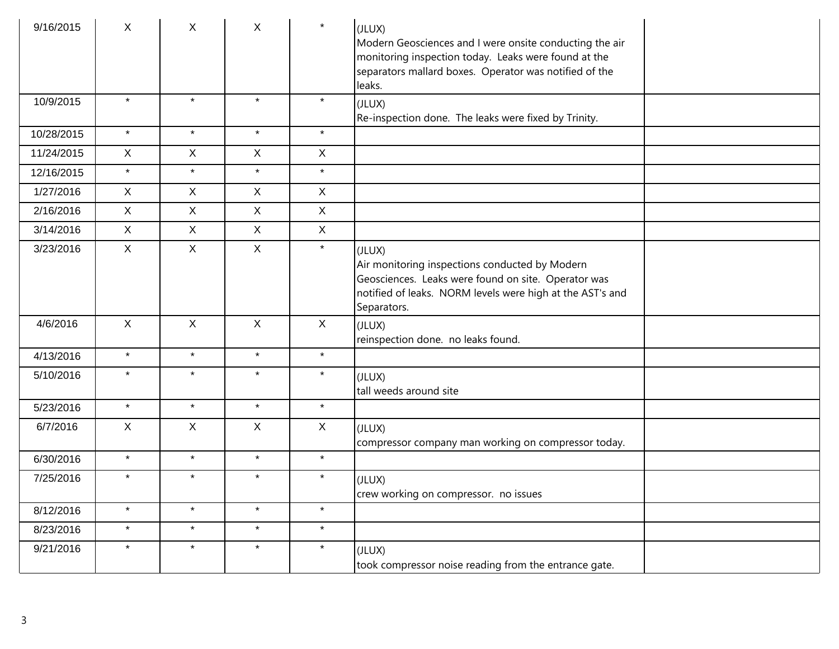| 9/16/2015  | X            | X            | $\mathsf{X}$ | $\star$      | (JLUX)<br>Modern Geosciences and I were onsite conducting the air<br>monitoring inspection today. Leaks were found at the<br>separators mallard boxes. Operator was notified of the<br>leaks. |
|------------|--------------|--------------|--------------|--------------|-----------------------------------------------------------------------------------------------------------------------------------------------------------------------------------------------|
| 10/9/2015  | $\star$      | $\star$      | $\star$      | $\star$      | (JLUX)<br>Re-inspection done. The leaks were fixed by Trinity.                                                                                                                                |
| 10/28/2015 | $\star$      | $\star$      | $\star$      | $\star$      |                                                                                                                                                                                               |
| 11/24/2015 | $\mathsf{X}$ | X            | X            | $\mathsf X$  |                                                                                                                                                                                               |
| 12/16/2015 | $\star$      | $\star$      | $\star$      | $\star$      |                                                                                                                                                                                               |
| 1/27/2016  | $\mathsf{X}$ | $\mathsf{X}$ | X            | $\mathsf{X}$ |                                                                                                                                                                                               |
| 2/16/2016  | X            | X            | X            | $\mathsf{X}$ |                                                                                                                                                                                               |
| 3/14/2016  | $\mathsf{X}$ | X            | $\mathsf{X}$ | $\mathsf X$  |                                                                                                                                                                                               |
| 3/23/2016  | $\mathsf{X}$ | X            | X            | $\star$      | (JLUX)<br>Air monitoring inspections conducted by Modern<br>Geosciences. Leaks were found on site. Operator was<br>notified of leaks. NORM levels were high at the AST's and<br>Separators.   |
| 4/6/2016   | $\mathsf X$  | $\mathsf{X}$ | $\mathsf{X}$ | $\mathsf{X}$ | (JLUX)<br>reinspection done. no leaks found.                                                                                                                                                  |
| 4/13/2016  | $\star$      | $\star$      | $\star$      | $\star$      |                                                                                                                                                                                               |
| 5/10/2016  | $\star$      | $\star$      | $\star$      | $\star$      | (JLUX)<br>tall weeds around site                                                                                                                                                              |
| 5/23/2016  | $\star$      | $\star$      | $\star$      | $\star$      |                                                                                                                                                                                               |
| 6/7/2016   | X            | X            | X            | $\mathsf{X}$ | (JLUX)<br>compressor company man working on compressor today.                                                                                                                                 |
| 6/30/2016  | $\star$      | $\star$      | $\star$      | $\star$      |                                                                                                                                                                                               |
| 7/25/2016  | $\star$      | $\star$      | $\star$      | $\star$      | (JLUX)<br>crew working on compressor. no issues                                                                                                                                               |
| 8/12/2016  | $\star$      | $\star$      | $\star$      | $\star$      |                                                                                                                                                                                               |
| 8/23/2016  | $\star$      | $\star$      | $\star$      | $\star$      |                                                                                                                                                                                               |
| 9/21/2016  | $\star$      | $\star$      | $\star$      | $\star$      | (JLUX)<br>took compressor noise reading from the entrance gate.                                                                                                                               |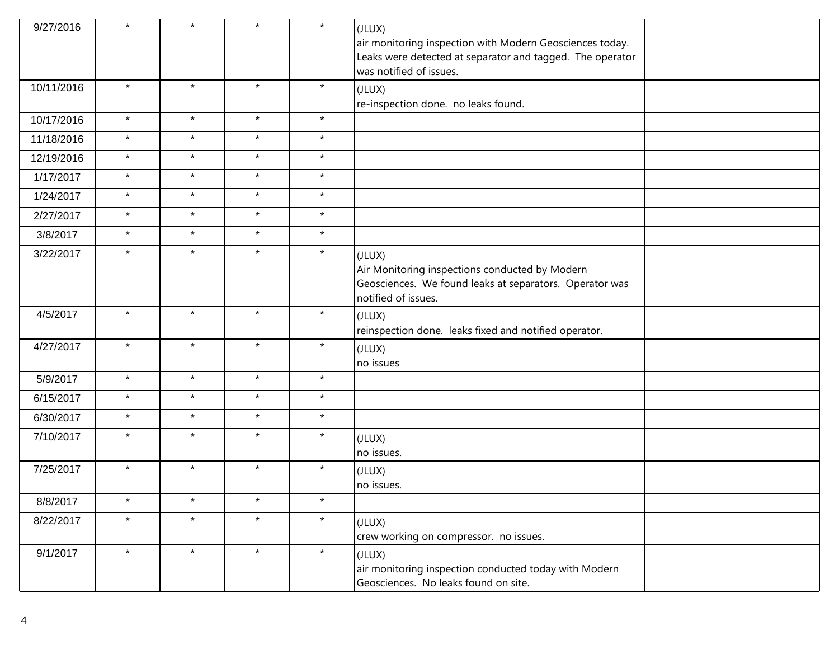| 9/27/2016  |         |         |         | $\star$ | (JLUX)<br>air monitoring inspection with Modern Geosciences today.<br>Leaks were detected at separator and tagged. The operator<br>was notified of issues. |
|------------|---------|---------|---------|---------|------------------------------------------------------------------------------------------------------------------------------------------------------------|
| 10/11/2016 | $\star$ | $\star$ | $\star$ | $\star$ | (JLUX)<br>re-inspection done. no leaks found.                                                                                                              |
| 10/17/2016 | $\star$ | $\star$ | $\star$ | $\star$ |                                                                                                                                                            |
| 11/18/2016 | $\star$ | $\star$ | $\star$ | $\star$ |                                                                                                                                                            |
| 12/19/2016 | $\star$ | $\star$ | $\star$ | $\star$ |                                                                                                                                                            |
| 1/17/2017  | $\star$ | $\star$ | $\star$ | $\star$ |                                                                                                                                                            |
| 1/24/2017  | $\star$ | $\star$ | $\star$ | $\star$ |                                                                                                                                                            |
| 2/27/2017  | $\star$ | $\star$ | $\star$ | $\star$ |                                                                                                                                                            |
| 3/8/2017   | $\star$ | $\star$ | $\star$ | $\star$ |                                                                                                                                                            |
| 3/22/2017  | $\star$ | $\star$ | $\star$ | $\star$ | (JLUX)<br>Air Monitoring inspections conducted by Modern<br>Geosciences. We found leaks at separators. Operator was<br>notified of issues.                 |
| 4/5/2017   | $\star$ | $\star$ | $\star$ | $\star$ | (JLUX)<br>reinspection done. leaks fixed and notified operator.                                                                                            |
| 4/27/2017  | $\star$ | $\star$ | $\star$ | $\star$ | (JLUX)<br>no issues                                                                                                                                        |
| 5/9/2017   | $\star$ | $\star$ | $\star$ | $\star$ |                                                                                                                                                            |
| 6/15/2017  | $\star$ | $\star$ | $\star$ | $\star$ |                                                                                                                                                            |
| 6/30/2017  | $\star$ | $\star$ | $\star$ | $\star$ |                                                                                                                                                            |
| 7/10/2017  | $\star$ | $\star$ | $\star$ | $\star$ | (JLUX)<br>no issues.                                                                                                                                       |
| 7/25/2017  | $\star$ | $\star$ | $\star$ | $\star$ | (JLUX)<br>no issues.                                                                                                                                       |
| 8/8/2017   | $\star$ | $\star$ | $\star$ | $\star$ |                                                                                                                                                            |
| 8/22/2017  | $\star$ | $\star$ | $\star$ | $\star$ | (JLUX)<br>crew working on compressor. no issues.                                                                                                           |
| 9/1/2017   | $\star$ | $\star$ | $\star$ | $\star$ | (JLUX)<br>air monitoring inspection conducted today with Modern<br>Geosciences. No leaks found on site.                                                    |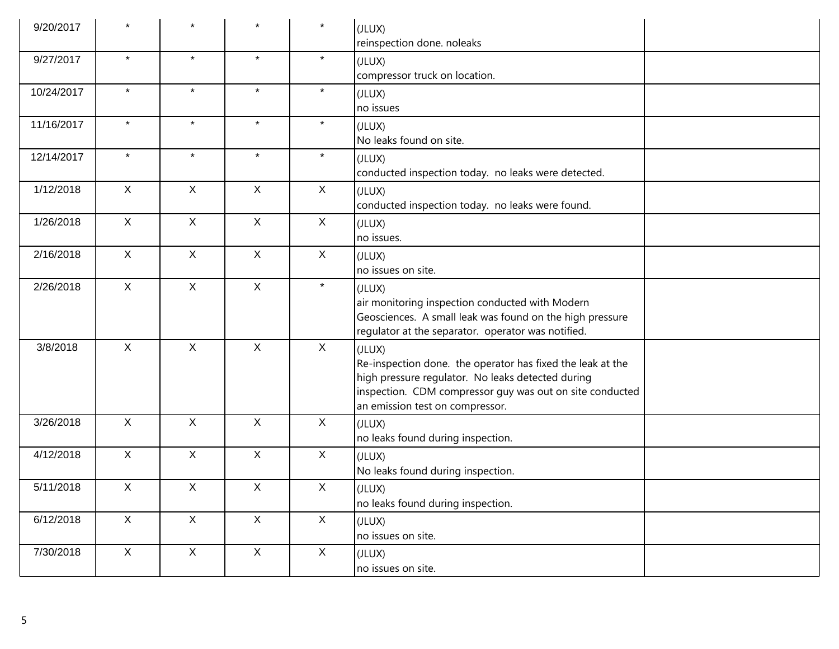| 9/20/2017  |              |              | $\star$      | $\star$      | (JLUX)<br>reinspection done. noleaks                                                                                                                                                                                     |
|------------|--------------|--------------|--------------|--------------|--------------------------------------------------------------------------------------------------------------------------------------------------------------------------------------------------------------------------|
| 9/27/2017  | $\star$      | $\star$      | $\star$      | $\star$      | (JLUX)<br>compressor truck on location.                                                                                                                                                                                  |
| 10/24/2017 | $\star$      | $\star$      | $\star$      | $\star$      | (JLUX)<br>no issues                                                                                                                                                                                                      |
| 11/16/2017 | $\star$      | $\star$      | $\star$      | $\star$      | (JLUX)<br>No leaks found on site.                                                                                                                                                                                        |
| 12/14/2017 | $\star$      | $\star$      | $\star$      | $\star$      | (JLUX)<br>conducted inspection today. no leaks were detected.                                                                                                                                                            |
| 1/12/2018  | $\mathsf{X}$ | $\mathsf{X}$ | $\mathsf{X}$ | $\mathsf{X}$ | (JLUX)<br>conducted inspection today. no leaks were found.                                                                                                                                                               |
| 1/26/2018  | $\mathsf X$  | $\mathsf{X}$ | $\mathsf{X}$ | $\mathsf{X}$ | (JLUX)<br>no issues.                                                                                                                                                                                                     |
| 2/16/2018  | $\mathsf{X}$ | $\mathsf{X}$ | $\mathsf{X}$ | $\mathsf{X}$ | (JLUX)<br>no issues on site.                                                                                                                                                                                             |
| 2/26/2018  | $\mathsf{X}$ | $\mathsf{X}$ | $\mathsf{X}$ | $\star$      | (JLUX)<br>air monitoring inspection conducted with Modern<br>Geosciences. A small leak was found on the high pressure<br>regulator at the separator. operator was notified.                                              |
| 3/8/2018   | $\mathsf{X}$ | X            | X            | $\mathsf{X}$ | (JLUX)<br>Re-inspection done. the operator has fixed the leak at the<br>high pressure regulator. No leaks detected during<br>inspection. CDM compressor guy was out on site conducted<br>an emission test on compressor. |
| 3/26/2018  | X            | X            | $\mathsf{X}$ | $\mathsf{X}$ | (JLUX)<br>no leaks found during inspection.                                                                                                                                                                              |
| 4/12/2018  | $\mathsf{X}$ | X            | $\mathsf{X}$ | $\mathsf{X}$ | (JLUX)<br>No leaks found during inspection.                                                                                                                                                                              |
| 5/11/2018  | $\mathsf{X}$ | X            | X            | $\mathsf{X}$ | (JLUX)<br>no leaks found during inspection.                                                                                                                                                                              |
| 6/12/2018  | $\mathsf{X}$ | $\mathsf{X}$ | $\mathsf{X}$ | $\mathsf{X}$ | (JLUX)<br>no issues on site.                                                                                                                                                                                             |
| 7/30/2018  | $\mathsf X$  | $\mathsf X$  | $\mathsf X$  | $\mathsf X$  | (JLUX)<br>no issues on site.                                                                                                                                                                                             |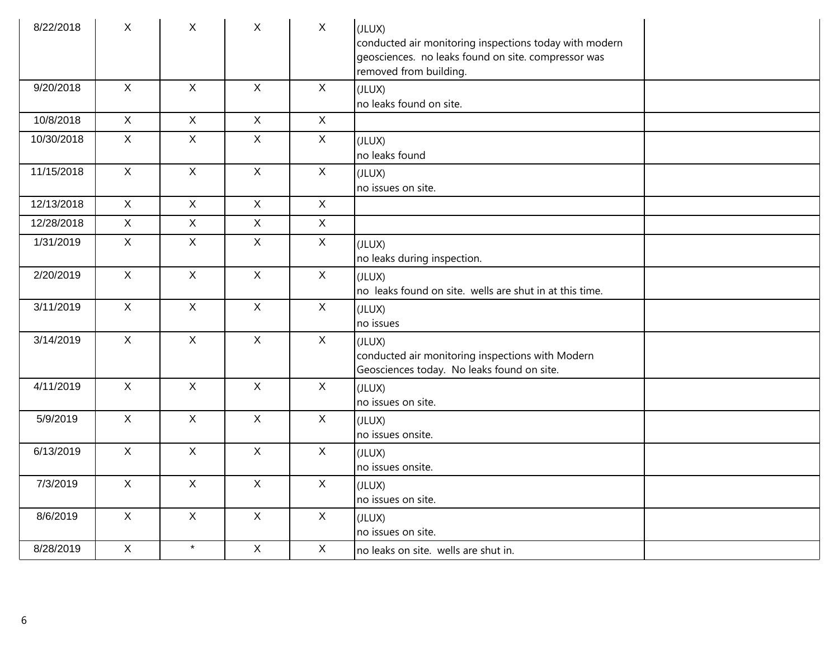| 8/22/2018  | $\mathsf{X}$   | $\mathsf{X}$   | $\mathsf{X}$   | $\mathsf{X}$ | (JLUX)<br>conducted air monitoring inspections today with modern<br>geosciences. no leaks found on site. compressor was<br>removed from building. |
|------------|----------------|----------------|----------------|--------------|---------------------------------------------------------------------------------------------------------------------------------------------------|
| 9/20/2018  | $\mathsf{X}$   | $\mathsf{X}$   | $\mathsf{X}$   | $\mathsf{X}$ | (JLUX)<br>no leaks found on site.                                                                                                                 |
| 10/8/2018  | $\mathsf{X}$   | $\mathsf{X}$   | $\mathsf{X}$   | $\mathsf X$  |                                                                                                                                                   |
| 10/30/2018 | $\mathsf{X}$   | $\mathsf{X}$   | $\mathsf{X}$   | $\mathsf{X}$ | (JLUX)<br>no leaks found                                                                                                                          |
| 11/15/2018 | $\mathsf{X}$   | $\mathsf{X}$   | $\mathsf{X}$   | $\mathsf X$  | (JLUX)<br>no issues on site.                                                                                                                      |
| 12/13/2018 | $\overline{X}$ | $\overline{X}$ | $\mathsf X$    | $\mathsf{X}$ |                                                                                                                                                   |
| 12/28/2018 | $\mathsf X$    | $\mathsf{X}$   | $\mathsf X$    | $\mathsf X$  |                                                                                                                                                   |
| 1/31/2019  | $\overline{X}$ | $\mathsf X$    | $\mathsf X$    | $\mathsf X$  | (JLUX)<br>no leaks during inspection.                                                                                                             |
| 2/20/2019  | $\mathsf{X}$   | $\mathsf{X}$   | $\mathsf{X}$   | $\mathsf{X}$ | (JLUX)<br>no leaks found on site. wells are shut in at this time.                                                                                 |
| 3/11/2019  | $\mathsf{X}$   | $\mathsf{X}$   | $\mathsf{X}$   | $\mathsf X$  | (JLUX)<br>no issues                                                                                                                               |
| 3/14/2019  | $\mathsf{X}$   | $\mathsf{X}$   | $\mathsf{X}$   | X            | (JLUX)<br>conducted air monitoring inspections with Modern<br>Geosciences today. No leaks found on site.                                          |
| 4/11/2019  | $\mathsf{X}$   | $\mathsf{X}$   | $\mathsf{X}$   | $\mathsf{X}$ | (JLUX)<br>no issues on site.                                                                                                                      |
| 5/9/2019   | $\mathsf{X}$   | $\mathsf{X}$   | $\mathsf{X}$   | $\mathsf{X}$ | (JLUX)<br>no issues onsite.                                                                                                                       |
| 6/13/2019  | $\mathsf{X}$   | $\mathsf{X}$   | $\mathsf{X}$   | $\mathsf X$  | (JLUX)<br>no issues onsite.                                                                                                                       |
| 7/3/2019   | $\mathsf{X}$   | $\mathsf{X}$   | $\mathsf{X}$   | $\mathsf{X}$ | (JLUX)<br>no issues on site.                                                                                                                      |
| 8/6/2019   | $\mathsf{X}$   | $\mathsf{X}$   | $\mathsf{X}$   | $\mathsf X$  | (JLUX)<br>no issues on site.                                                                                                                      |
| 8/28/2019  | $\overline{X}$ | $\star$        | $\overline{X}$ | $\mathsf X$  | no leaks on site. wells are shut in.                                                                                                              |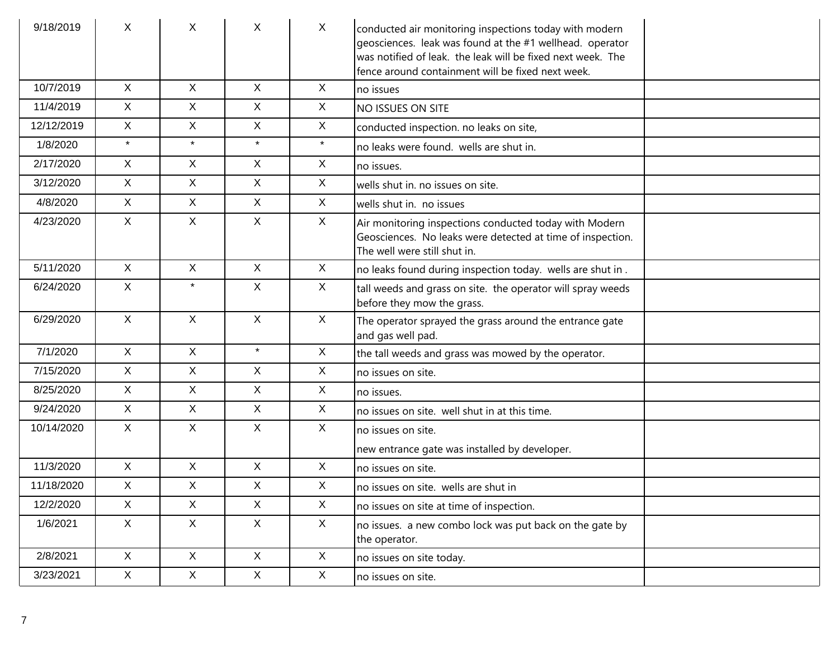| 9/18/2019  | X            | X            | X            | $\sf X$      | conducted air monitoring inspections today with modern<br>geosciences. leak was found at the #1 wellhead. operator<br>was notified of leak. the leak will be fixed next week. The<br>fence around containment will be fixed next week. |
|------------|--------------|--------------|--------------|--------------|----------------------------------------------------------------------------------------------------------------------------------------------------------------------------------------------------------------------------------------|
| 10/7/2019  | X            | $\mathsf{X}$ | $\mathsf{X}$ | $\sf X$      | no issues                                                                                                                                                                                                                              |
| 11/4/2019  | $\mathsf{X}$ | X            | X            | X            | <b>NO ISSUES ON SITE</b>                                                                                                                                                                                                               |
| 12/12/2019 | $\mathsf{X}$ | X            | $\mathsf{X}$ | $\mathsf{X}$ | conducted inspection. no leaks on site,                                                                                                                                                                                                |
| 1/8/2020   | $\star$      | $\star$      | $\star$      | $\star$      | no leaks were found. wells are shut in.                                                                                                                                                                                                |
| 2/17/2020  | $\mathsf{X}$ | X            | $\mathsf{X}$ | $\mathsf{X}$ | no issues.                                                                                                                                                                                                                             |
| 3/12/2020  | $\mathsf{X}$ | X            | $\mathsf{X}$ | $\sf X$      | wells shut in. no issues on site.                                                                                                                                                                                                      |
| 4/8/2020   | $\mathsf{X}$ | X            | $\mathsf X$  | $\mathsf{X}$ | wells shut in. no issues                                                                                                                                                                                                               |
| 4/23/2020  | $\mathsf{X}$ | X            | $\mathsf{X}$ | $\sf X$      | Air monitoring inspections conducted today with Modern<br>Geosciences. No leaks were detected at time of inspection.<br>The well were still shut in.                                                                                   |
| 5/11/2020  | $\mathsf{X}$ | $\mathsf{X}$ | $\mathsf{X}$ | $\mathsf{X}$ | no leaks found during inspection today. wells are shut in.                                                                                                                                                                             |
| 6/24/2020  | X            | $\star$      | X            | $\mathsf{X}$ | tall weeds and grass on site. the operator will spray weeds<br>before they mow the grass.                                                                                                                                              |
| 6/29/2020  | $\mathsf{X}$ | $\mathsf{X}$ | $\mathsf X$  | $\mathsf{X}$ | The operator sprayed the grass around the entrance gate<br>and gas well pad.                                                                                                                                                           |
| 7/1/2020   | $\mathsf{X}$ | $\mathsf{X}$ | $\star$      | $\sf X$      | the tall weeds and grass was mowed by the operator.                                                                                                                                                                                    |
| 7/15/2020  | X            | X            | $\mathsf{X}$ | $\sf X$      | $ $ no issues on site.                                                                                                                                                                                                                 |
| 8/25/2020  | $\mathsf{X}$ | X            | $\mathsf{X}$ | $\sf X$      | no issues.                                                                                                                                                                                                                             |
| 9/24/2020  | X            | X            | $\mathsf{X}$ | $\sf X$      | no issues on site. well shut in at this time.                                                                                                                                                                                          |
| 10/14/2020 | X            | X            | $\mathsf{X}$ | $\sf X$      | no issues on site.                                                                                                                                                                                                                     |
|            |              |              |              |              | new entrance gate was installed by developer.                                                                                                                                                                                          |
| 11/3/2020  | $\mathsf{X}$ | X            | $\mathsf{X}$ | $\sf X$      | $ $ no issues on site.                                                                                                                                                                                                                 |
| 11/18/2020 | X            | X            | X            | $\sf X$      | no issues on site. wells are shut in                                                                                                                                                                                                   |
| 12/2/2020  | X            | X            | X            | $\mathsf{X}$ | no issues on site at time of inspection.                                                                                                                                                                                               |
| 1/6/2021   | X            | X            | X            | $\mathsf{X}$ | no issues. a new combo lock was put back on the gate by<br>the operator.                                                                                                                                                               |
| 2/8/2021   | X            | X            | X            | $\mathsf{X}$ | no issues on site today.                                                                                                                                                                                                               |
| 3/23/2021  | $\mathsf X$  | $\mathsf{X}$ | $\mathsf X$  | $\mathsf{X}$ | no issues on site.                                                                                                                                                                                                                     |